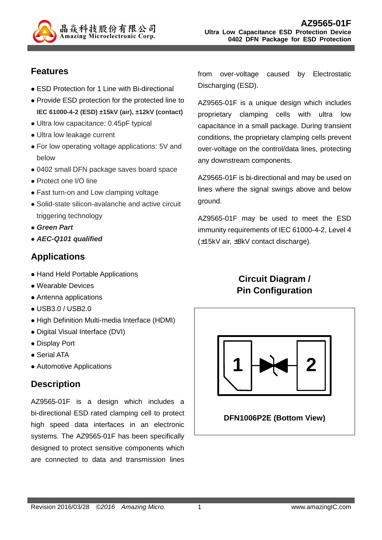

### **Features**

- ESD Protection for 1 Line with Bi-directional
- Provide ESD protection for the protected line to **IEC 61000-4-2 (ESD) ±15kV (air), ±12kV (contact)**
- Ultra low capacitance: 0.45pF typical
- Ultra low leakage current
- For low operating voltage applications: 5V and below
- 0402 small DFN package saves board space
- Protect one I/O line
- Fast turn-on and Low clamping voltage
- Solid-state silicon-avalanche and active circuit triggering technology
- **Green Part**
- **AEC-Q101 qualified**

## **Applications**

- Hand Held Portable Applications
- Wearable Devices
- Antenna applications
- USB3.0 / USB2.0
- High Definition Multi-media Interface (HDMI)
- Digital Visual Interface (DVI)
- Display Port
- Serial ATA
- Automotive Applications

#### **Description**

AZ9565-01F is a design which includes a bi-directional ESD rated clamping cell to protect high speed data interfaces in an electronic systems. The AZ9565-01F has been specifically designed to protect sensitive components which are connected to data and transmission lines

from over-voltage caused by Electrostatic Discharging (ESD).

AZ9565-01F is a unique design which includes proprietary clamping cells with ultra low capacitance in a small package. During transient conditions, the proprietary clamping cells prevent over-voltage on the control/data lines, protecting any downstream components.

AZ9565-01F is bi-directional and may be used on lines where the signal swings above and below ground.

AZ9565-01F may be used to meet the ESD immunity requirements of IEC 61000-4-2, Level 4 (±15kV air, ±8kV contact discharge).

## **Circuit Diagram / Pin Configuration**



#### **DFN1006P2E (Bottom View)**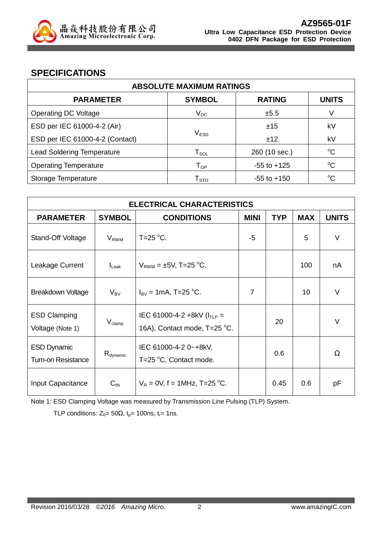

#### **SPECIFICATIONS**

| <b>ABSOLUTE MAXIMUM RATINGS</b>   |                                |                 |              |  |
|-----------------------------------|--------------------------------|-----------------|--------------|--|
| <b>PARAMETER</b>                  | <b>SYMBOL</b>                  | <b>RATING</b>   | <b>UNITS</b> |  |
| <b>Operating DC Voltage</b>       | $\mathsf{V}_{\mathsf{DC}}$     | ±5.5            | V            |  |
| ESD per IEC 61000-4-2 (Air)       |                                | ±15             | kV           |  |
| ESD per IEC 61000-4-2 (Contact)   | $\mathsf{V}_{\mathsf{ESD}}$    | ±12             | kV           |  |
| <b>Lead Soldering Temperature</b> | ${\mathsf T}_{\text{\rm SOL}}$ | 260 (10 sec.)   | $^{\circ}C$  |  |
| <b>Operating Temperature</b>      | $\mathsf{T}_{\mathsf{OP}}$     | $-55$ to $+125$ | $^{\circ}C$  |  |
| Storage Temperature               | ${\mathsf T}_{\text{STO}}$     | $-55$ to $+150$ | $^{\circ}C$  |  |

| <b>ELECTRICAL CHARACTERISTICS</b>               |                               |                                                                  |             |            |            |              |
|-------------------------------------------------|-------------------------------|------------------------------------------------------------------|-------------|------------|------------|--------------|
| <b>PARAMETER</b>                                | <b>SYMBOL</b>                 | <b>CONDITIONS</b>                                                | <b>MINI</b> | <b>TYP</b> | <b>MAX</b> | <b>UNITS</b> |
| Stand-Off Voltage                               | $V_{RWM}$                     | T=25 $\mathrm{^{\circ}C}$ .                                      | -5          |            | 5          | $\vee$       |
| Leakage Current                                 | $I_{\text{L}eak}$             | $V_{RWM} = \pm 5V$ , T=25 °C.                                    |             |            | 100        | nA           |
| Breakdown Voltage                               | $V_{BV}$                      | $I_{\text{BV}} = 1 \text{mA}$ , T=25 °C.                         | 7           |            | 10         | $\vee$       |
| <b>ESD Clamping</b><br>Voltage (Note 1)         | $\mathsf{V}_{\mathsf{clamp}}$ | IEC 61000-4-2 +8kV ( $I_{TLP}$ =<br>16A), Contact mode, T=25 °C. |             | 20         |            | $\vee$       |
| <b>ESD Dynamic</b><br><b>Turn-on Resistance</b> | $R_{\text{dynamic}}$          | IEC 61000-4-2 0~+8kV,<br>T=25 °C, Contact mode.                  |             | 0.6        |            | $\Omega$     |
| Input Capacitance                               | $C_{IN}$                      | $V_R = 0V$ , f = 1MHz, T=25 °C.                                  |             | 0.45       | 0.6        | рF           |

Note 1: ESD Clamping Voltage was measured by Transmission Line Pulsing (TLP) System.

TLP conditions:  $Z_0 = 50\Omega$ ,  $t_p = 100$ ns,  $t_r = 1$ ns.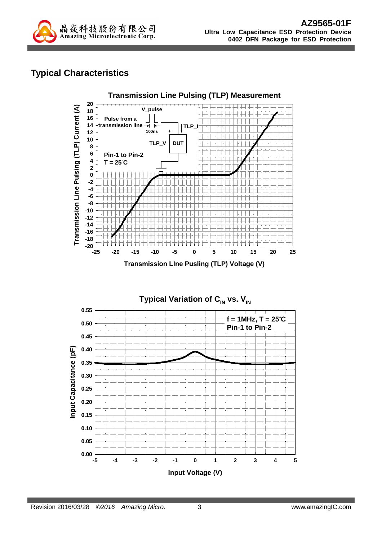

## **Typical Characteristics**



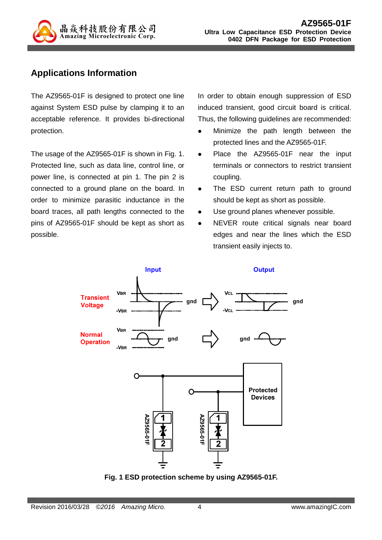

## **Applications Information**

The AZ9565-01F is designed to protect one line against System ESD pulse by clamping it to an acceptable reference. It provides bi-directional protection.

The usage of the AZ9565-01F is shown in Fig. 1. Protected line, such as data line, control line, or power line, is connected at pin 1. The pin 2 is connected to a ground plane on the board. In order to minimize parasitic inductance in the board traces, all path lengths connected to the pins of AZ9565-01F should be kept as short as possible.

In order to obtain enough suppression of ESD induced transient, good circuit board is critical. Thus, the following guidelines are recommended:

- Minimize the path length between the protected lines and the AZ9565-01F.
- Place the AZ9565-01F near the input terminals or connectors to restrict transient coupling.
- The ESD current return path to ground should be kept as short as possible.
- Use ground planes whenever possible.
- NEVER route critical signals near board edges and near the lines which the ESD transient easily injects to.



**Fig. 1 ESD protection scheme by using AZ9565-01F.**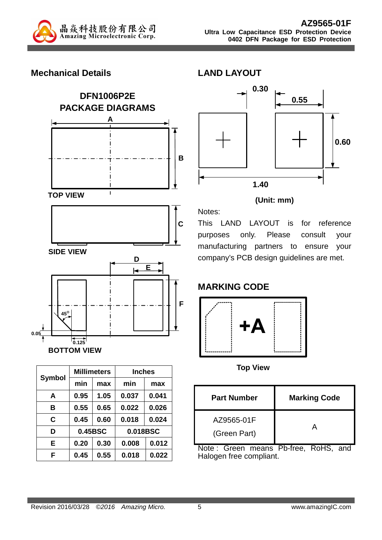

### **Mechanical Details**



|               |         | <b>Millimeters</b> | <b>Inches</b> |          |  |
|---------------|---------|--------------------|---------------|----------|--|
| <b>Symbol</b> | min     | max                | min           | max      |  |
| A             | 0.95    | 1.05               | 0.037         | 0.041    |  |
| в             | 0.55    | 0.65               | 0.022         | 0.026    |  |
| C             | 0.45    | 0.60               | 0.018         | 0.024    |  |
| D             | 0.45BSC |                    |               | 0.018BSC |  |
| Е             | 0.20    | 0.30               | 0.008         | 0.012    |  |
| F             | 0.45    | 0.55               | 0.018         | 0.022    |  |



#### **(Unit: mm)**

This LAND LAYOUT is for reference purposes only. Please consult your manufacturing partners to ensure your company's PCB design guidelines are met.

# **MARKING CODE**

Notes:

**LAND LAYOUT** 



**Top View** 

| <b>Part Number</b>         | <b>Marking Code</b> |
|----------------------------|---------------------|
| AZ9565-01F<br>(Green Part) |                     |

Note : Green means Pb-free, RoHS, and Halogen free compliant.